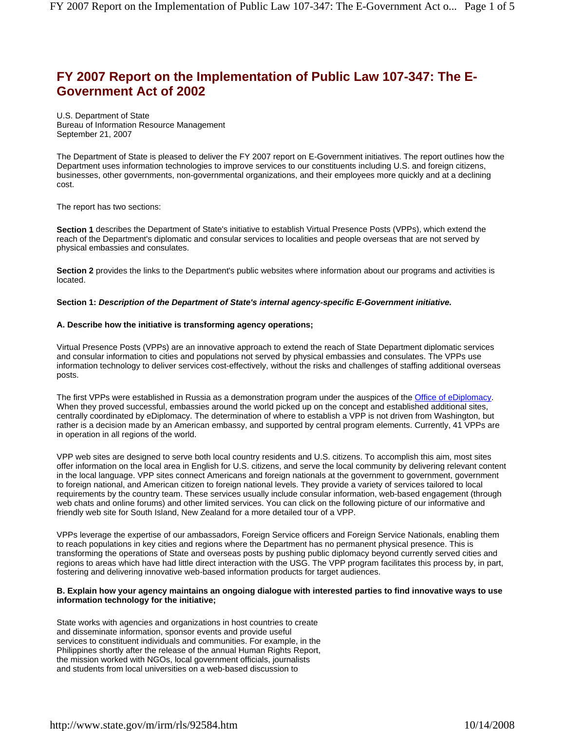# **FY 2007 Report on the Implementation of Public Law 107-347: The E-Government Act of 2002**

U.S. Department of State Bureau of Information Resource Management September 21, 2007

The Department of State is pleased to deliver the FY 2007 report on E-Government initiatives. The report outlines how the Department uses information technologies to improve services to our constituents including U.S. and foreign citizens, businesses, other governments, non-governmental organizations, and their employees more quickly and at a declining cost.

The report has two sections:

**Section 1** describes the Department of State's initiative to establish Virtual Presence Posts (VPPs), which extend the reach of the Department's diplomatic and consular services to localities and people overseas that are not served by physical embassies and consulates.

**Section 2** provides the links to the Department's public websites where information about our programs and activities is located.

#### **Section 1:** *Description of the Department of State's internal agency-specific E-Government initiative.*

# **A. Describe how the initiative is transforming agency operations;**

Virtual Presence Posts (VPPs) are an innovative approach to extend the reach of State Department diplomatic services and consular information to cities and populations not served by physical embassies and consulates. The VPPs use information technology to deliver services cost-effectively, without the risks and challenges of staffing additional overseas posts.

The first VPPs were established in Russia as a demonstration program under the auspices of the Office of eDiplomacy. When they proved successful, embassies around the world picked up on the concept and established additional sites, centrally coordinated by eDiplomacy. The determination of where to establish a VPP is not driven from Washington, but rather is a decision made by an American embassy, and supported by central program elements. Currently, 41 VPPs are in operation in all regions of the world.

VPP web sites are designed to serve both local country residents and U.S. citizens. To accomplish this aim, most sites offer information on the local area in English for U.S. citizens, and serve the local community by delivering relevant content in the local language. VPP sites connect Americans and foreign nationals at the government to government, government to foreign national, and American citizen to foreign national levels. They provide a variety of services tailored to local requirements by the country team. These services usually include consular information, web-based engagement (through web chats and online forums) and other limited services. You can click on the following picture of our informative and friendly web site for South Island, New Zealand for a more detailed tour of a VPP.

VPPs leverage the expertise of our ambassadors, Foreign Service officers and Foreign Service Nationals, enabling them to reach populations in key cities and regions where the Department has no permanent physical presence. This is transforming the operations of State and overseas posts by pushing public diplomacy beyond currently served cities and regions to areas which have had little direct interaction with the USG. The VPP program facilitates this process by, in part, fostering and delivering innovative web-based information products for target audiences.

#### **B. Explain how your agency maintains an ongoing dialogue with interested parties to find innovative ways to use information technology for the initiative;**

State works with agencies and organizations in host countries to create and disseminate information, sponsor events and provide useful services to constituent individuals and communities. For example, in the Philippines shortly after the release of the annual Human Rights Report, the mission worked with NGOs, local government officials, journalists and students from local universities on a web-based discussion to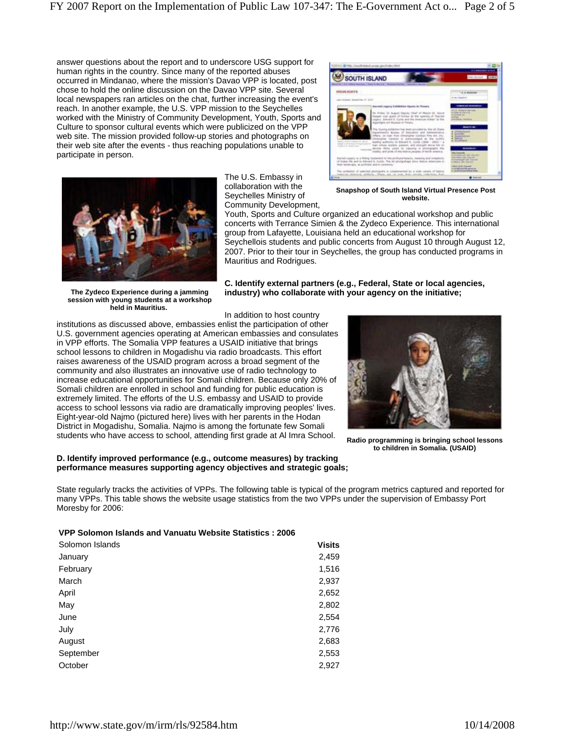answer questions about the report and to underscore USG support for human rights in the country. Since many of the reported abuses occurred in Mindanao, where the mission's Davao VPP is located, post chose to hold the online discussion on the Davao VPP site. Several local newspapers ran articles on the chat, further increasing the event's reach. In another example, the U.S. VPP mission to the Seychelles worked with the Ministry of Community Development, Youth, Sports and Culture to sponsor cultural events which were publicized on the VPP web site. The mission provided follow-up stories and photographs on their web site after the events - thus reaching populations unable to participate in person.



**The Zydeco Experience during a jamming session with young students at a workshop held in Mauritius.**

The U.S. Embassy in collaboration with the Seychelles Ministry of Community Development,



**Snapshop of South Island Virtual Presence Post website.**

Youth, Sports and Culture organized an educational workshop and public concerts with Terrance Simien & the Zydeco Experience. This international group from Lafayette, Louisiana held an educational workshop for Seychellois students and public concerts from August 10 through August 12, 2007. Prior to their tour in Seychelles, the group has conducted programs in Mauritius and Rodrigues.

**C. Identify external partners (e.g., Federal, State or local agencies, industry) who collaborate with your agency on the initiative;**

In addition to host country

institutions as discussed above, embassies enlist the participation of other U.S. government agencies operating at American embassies and consulates in VPP efforts. The Somalia VPP features a USAID initiative that brings school lessons to children in Mogadishu via radio broadcasts. This effort raises awareness of the USAID program across a broad segment of the community and also illustrates an innovative use of radio technology to increase educational opportunities for Somali children. Because only 20% of Somali children are enrolled in school and funding for public education is extremely limited. The efforts of the U.S. embassy and USAID to provide access to school lessons via radio are dramatically improving peoples' lives. Eight-year-old Najmo (pictured here) lives with her parents in the Hodan District in Mogadishu, Somalia. Najmo is among the fortunate few Somali students who have access to school, attending first grade at Al Imra School.

# **D. Identify improved performance (e.g., outcome measures) by tracking performance measures supporting agency objectives and strategic goals;**



**Radio programming is bringing school lessons to children in Somalia. (USAID)**

State regularly tracks the activities of VPPs. The following table is typical of the program metrics captured and reported for many VPPs. This table shows the website usage statistics from the two VPPs under the supervision of Embassy Port Moresby for 2006:

# **VPP Solomon Islands and Vanuatu Website Statistics : 2006**

| Solomon Islands | <b>Visits</b> |
|-----------------|---------------|
| January         | 2,459         |
| February        | 1,516         |
| March           | 2,937         |
| April           | 2,652         |
| May             | 2,802         |
| June            | 2,554         |
| July            | 2,776         |
| August          | 2,683         |
| September       | 2,553         |
| October         | 2,927         |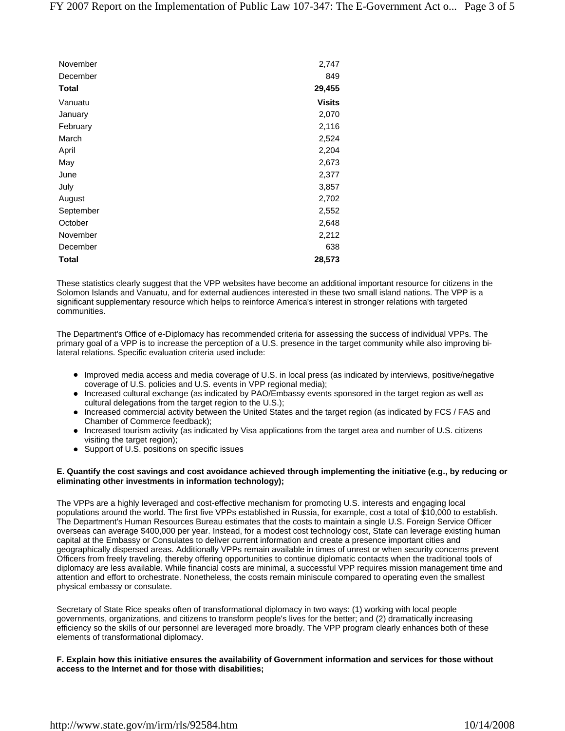| November     | 2,747         |
|--------------|---------------|
| December     | 849           |
| Total        | 29,455        |
| Vanuatu      | <b>Visits</b> |
| January      | 2,070         |
| February     | 2,116         |
| March        | 2,524         |
| April        | 2,204         |
| May          | 2,673         |
| June         | 2,377         |
| July         | 3,857         |
| August       | 2,702         |
| September    | 2,552         |
| October      | 2,648         |
| November     | 2,212         |
| December     | 638           |
| <b>Total</b> | 28,573        |

These statistics clearly suggest that the VPP websites have become an additional important resource for citizens in the Solomon Islands and Vanuatu, and for external audiences interested in these two small island nations. The VPP is a significant supplementary resource which helps to reinforce America's interest in stronger relations with targeted communities.

The Department's Office of e-Diplomacy has recommended criteria for assessing the success of individual VPPs. The primary goal of a VPP is to increase the perception of a U.S. presence in the target community while also improving bilateral relations. Specific evaluation criteria used include:

- Improved media access and media coverage of U.S. in local press (as indicated by interviews, positive/negative coverage of U.S. policies and U.S. events in VPP regional media);
- Increased cultural exchange (as indicated by PAO/Embassy events sponsored in the target region as well as cultural delegations from the target region to the U.S.);
- Increased commercial activity between the United States and the target region (as indicated by FCS / FAS and Chamber of Commerce feedback);
- Increased tourism activity (as indicated by Visa applications from the target area and number of U.S. citizens visiting the target region);
- Support of U.S. positions on specific issues

# **E. Quantify the cost savings and cost avoidance achieved through implementing the initiative (e.g., by reducing or eliminating other investments in information technology);**

The VPPs are a highly leveraged and cost-effective mechanism for promoting U.S. interests and engaging local populations around the world. The first five VPPs established in Russia, for example, cost a total of \$10,000 to establish. The Department's Human Resources Bureau estimates that the costs to maintain a single U.S. Foreign Service Officer overseas can average \$400,000 per year. Instead, for a modest cost technology cost, State can leverage existing human capital at the Embassy or Consulates to deliver current information and create a presence important cities and geographically dispersed areas. Additionally VPPs remain available in times of unrest or when security concerns prevent Officers from freely traveling, thereby offering opportunities to continue diplomatic contacts when the traditional tools of diplomacy are less available. While financial costs are minimal, a successful VPP requires mission management time and attention and effort to orchestrate. Nonetheless, the costs remain miniscule compared to operating even the smallest physical embassy or consulate.

Secretary of State Rice speaks often of transformational diplomacy in two ways: (1) working with local people governments, organizations, and citizens to transform people's lives for the better; and (2) dramatically increasing efficiency so the skills of our personnel are leveraged more broadly. The VPP program clearly enhances both of these elements of transformational diplomacy.

**F. Explain how this initiative ensures the availability of Government information and services for those without access to the Internet and for those with disabilities;**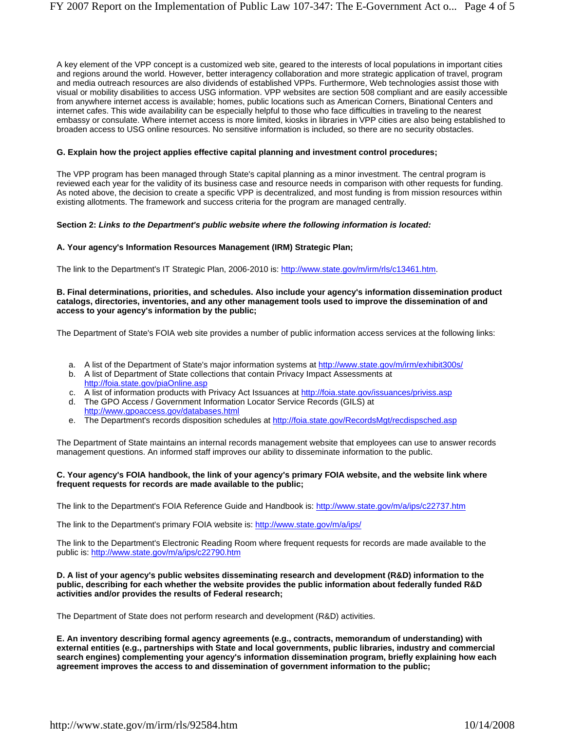A key element of the VPP concept is a customized web site, geared to the interests of local populations in important cities and regions around the world. However, better interagency collaboration and more strategic application of travel, program and media outreach resources are also dividends of established VPPs. Furthermore, Web technologies assist those with visual or mobility disabilities to access USG information. VPP websites are section 508 compliant and are easily accessible from anywhere internet access is available; homes, public locations such as American Corners, Binational Centers and internet cafes. This wide availability can be especially helpful to those who face difficulties in traveling to the nearest embassy or consulate. Where internet access is more limited, kiosks in libraries in VPP cities are also being established to broaden access to USG online resources. No sensitive information is included, so there are no security obstacles.

# **G. Explain how the project applies effective capital planning and investment control procedures;**

The VPP program has been managed through State's capital planning as a minor investment. The central program is reviewed each year for the validity of its business case and resource needs in comparison with other requests for funding. As noted above, the decision to create a specific VPP is decentralized, and most funding is from mission resources within existing allotments. The framework and success criteria for the program are managed centrally.

# **Section 2:** *Links to the Department's public website where the following information is located:*

# **A. Your agency's Information Resources Management (IRM) Strategic Plan;**

The link to the Department's IT Strategic Plan, 2006-2010 is: http://www.state.gov/m/irm/rls/c13461.htm.

### **B. Final determinations, priorities, and schedules. Also include your agency's information dissemination product catalogs, directories, inventories, and any other management tools used to improve the dissemination of and access to your agency's information by the public;**

The Department of State's FOIA web site provides a number of public information access services at the following links:

- a. A list of the Department of State's major information systems at http://www.state.gov/m/irm/exhibit300s/
- b. A list of Department of State collections that contain Privacy Impact Assessments at http://foia.state.gov/piaOnline.asp
- c. A list of information products with Privacy Act Issuances at http://foia.state.gov/issuances/priviss.asp
- d. The GPO Access / Government Information Locator Service Records (GILS) at http://www.gpoaccess.gov/databases.html
- e. The Department's records disposition schedules at http://foia.state.gov/RecordsMgt/recdispsched.asp

The Department of State maintains an internal records management website that employees can use to answer records management questions. An informed staff improves our ability to disseminate information to the public.

# **C. Your agency's FOIA handbook, the link of your agency's primary FOIA website, and the website link where frequent requests for records are made available to the public;**

The link to the Department's FOIA Reference Guide and Handbook is: http://www.state.gov/m/a/ips/c22737.htm

The link to the Department's primary FOIA website is: http://www.state.gov/m/a/ips/

The link to the Department's Electronic Reading Room where frequent requests for records are made available to the public is: http://www.state.gov/m/a/ips/c22790.htm

### **D. A list of your agency's public websites disseminating research and development (R&D) information to the public, describing for each whether the website provides the public information about federally funded R&D activities and/or provides the results of Federal research;**

The Department of State does not perform research and development (R&D) activities.

**E. An inventory describing formal agency agreements (e.g., contracts, memorandum of understanding) with external entities (e.g., partnerships with State and local governments, public libraries, industry and commercial search engines) complementing your agency's information dissemination program, briefly explaining how each agreement improves the access to and dissemination of government information to the public;**